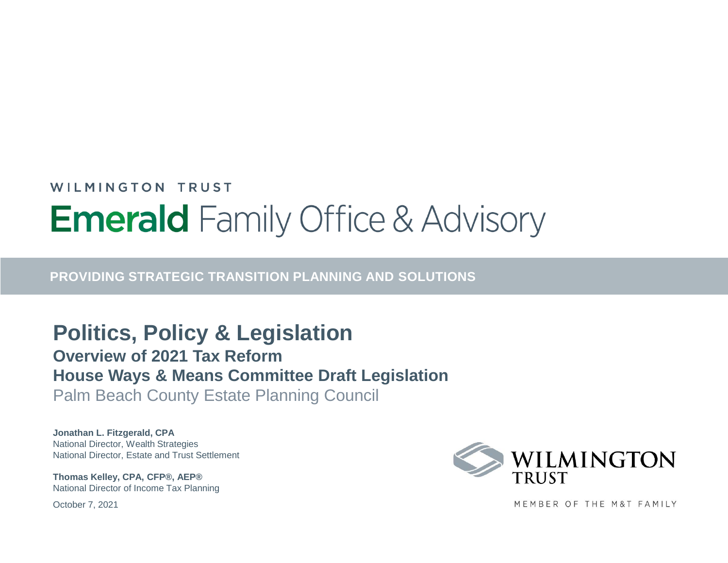## WILMINGTON TRUST **Emerald** Family Office & Advisory

**PROVIDING STRATEGIC TRANSITION PLANNING AND SOLUTIONS**

**Politics, Policy & Legislation Overview of 2021 Tax Reform House Ways & Means Committee Draft Legislation** Palm Beach County Estate Planning Council

**Jonathan L. Fitzgerald, CPA** National Director, Wealth Strategies National Director, Estate and Trust Settlement

**Thomas Kelley, CPA, CFP®, AEP®** National Director of Income Tax Planning

October 7, 2021



MEMBER OF THE M&T FAMILY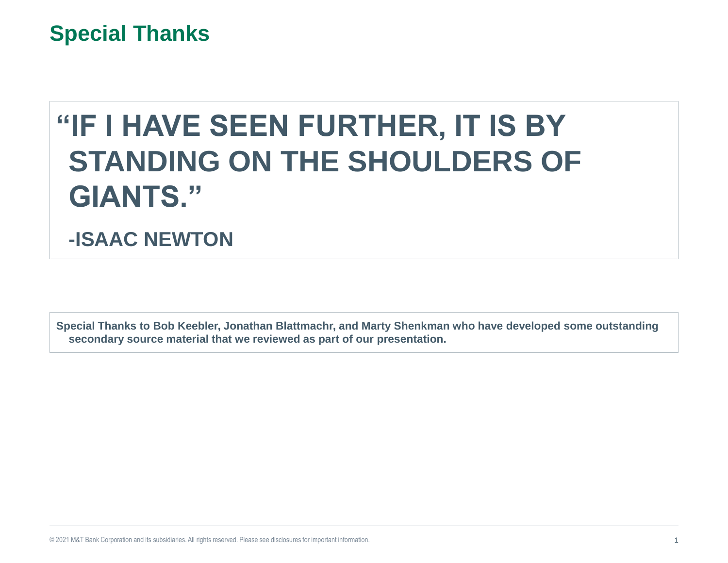### **Special Thanks**

# **"IF I HAVE SEEN FURTHER, IT IS BY STANDING ON THE SHOULDERS OF GIANTS."**

**-ISAAC NEWTON**

**Special Thanks to Bob Keebler, Jonathan Blattmachr, and Marty Shenkman who have developed some outstanding secondary source material that we reviewed as part of our presentation.**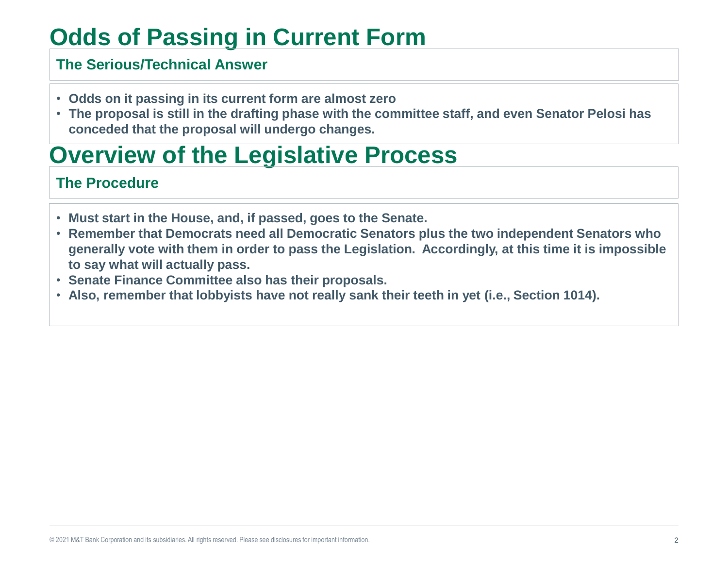## **Odds of Passing in Current Form**

#### **The Serious/Technical Answer**

- **Odds on it passing in its current form are almost zero**
- **The proposal is still in the drafting phase with the committee staff, and even Senator Pelosi has conceded that the proposal will undergo changes.**

## **Overview of the Legislative Process**

#### **The Procedure**

- **Must start in the House, and, if passed, goes to the Senate.**
- **Remember that Democrats need all Democratic Senators plus the two independent Senators who generally vote with them in order to pass the Legislation. Accordingly, at this time it is impossible to say what will actually pass.**
- **Senate Finance Committee also has their proposals.**
- **Also, remember that lobbyists have not really sank their teeth in yet (i.e., Section 1014).**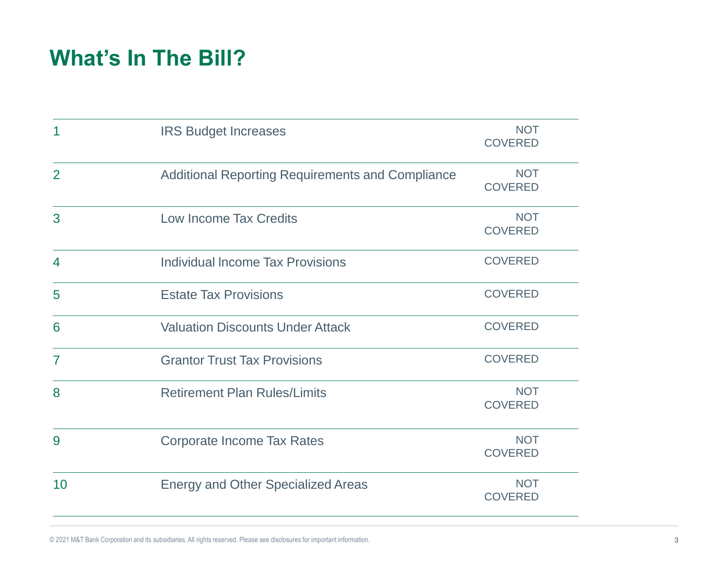### **What's In The Bill?**

| 1              | <b>IRS Budget Increases</b>                             | <b>NOT</b><br><b>COVERED</b> |  |
|----------------|---------------------------------------------------------|------------------------------|--|
| $\overline{2}$ | <b>Additional Reporting Requirements and Compliance</b> | <b>NOT</b><br><b>COVERED</b> |  |
| 3              | <b>Low Income Tax Credits</b>                           | <b>NOT</b><br><b>COVERED</b> |  |
| 4              | <b>Individual Income Tax Provisions</b>                 | <b>COVERED</b>               |  |
| 5              | <b>Estate Tax Provisions</b>                            | <b>COVERED</b>               |  |
| 6              | <b>Valuation Discounts Under Attack</b>                 | <b>COVERED</b>               |  |
| $\overline{7}$ | <b>Grantor Trust Tax Provisions</b>                     | <b>COVERED</b>               |  |
| 8              | <b>Retirement Plan Rules/Limits</b>                     | <b>NOT</b><br><b>COVERED</b> |  |
| 9              | <b>Corporate Income Tax Rates</b>                       | <b>NOT</b><br><b>COVERED</b> |  |
| 10             | <b>Energy and Other Specialized Areas</b>               | <b>NOT</b><br><b>COVERED</b> |  |

© 2021 M&T Bank Corporation and its subsidiaries. All rights reserved. Please see disclosures for important information. 3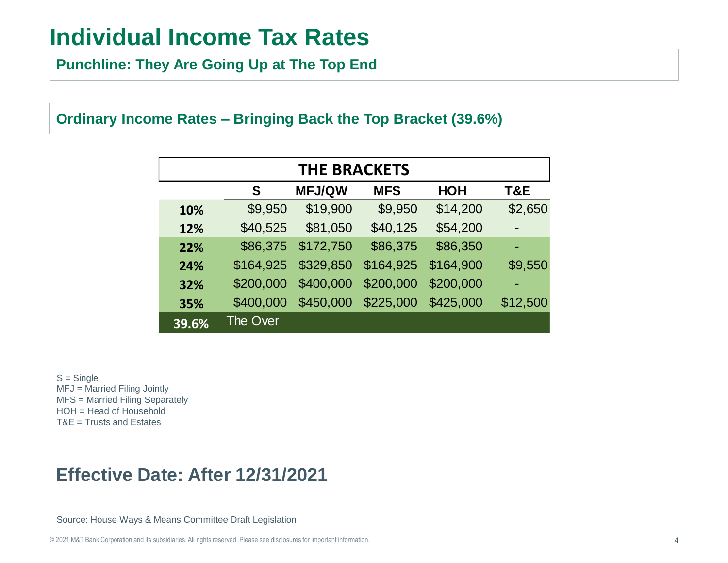**Punchline: They Are Going Up at The Top End**

#### **Ordinary Income Rates – Bringing Back the Top Bracket (39.6%)**

| <b>THE BRACKETS</b> |                                                |           |           |           |          |  |  |  |
|---------------------|------------------------------------------------|-----------|-----------|-----------|----------|--|--|--|
|                     | <b>MFJ/QW</b><br>S<br><b>MFS</b><br><b>HOH</b> |           |           |           |          |  |  |  |
| 10%                 | \$9,950                                        | \$19,900  | \$9,950   | \$14,200  | \$2,650  |  |  |  |
| 12%                 | \$40,525                                       | \$81,050  | \$40,125  | \$54,200  |          |  |  |  |
| 22%                 | \$86,375                                       | \$172,750 | \$86,375  | \$86,350  | ٠        |  |  |  |
| 24%                 | \$164,925                                      | \$329,850 | \$164,925 | \$164,900 | \$9,550  |  |  |  |
| 32%                 | \$200,000                                      | \$400,000 | \$200,000 | \$200,000 |          |  |  |  |
| 35%                 | \$400,000                                      | \$450,000 | \$225,000 | \$425,000 | \$12,500 |  |  |  |
| 39.6%               | <b>The Over</b>                                |           |           |           |          |  |  |  |

 $S =$ Single MFJ = Married Filing Jointly MFS = Married Filing Separately HOH = Head of Household T&E = Trusts and Estates

#### **Effective Date: After 12/31/2021**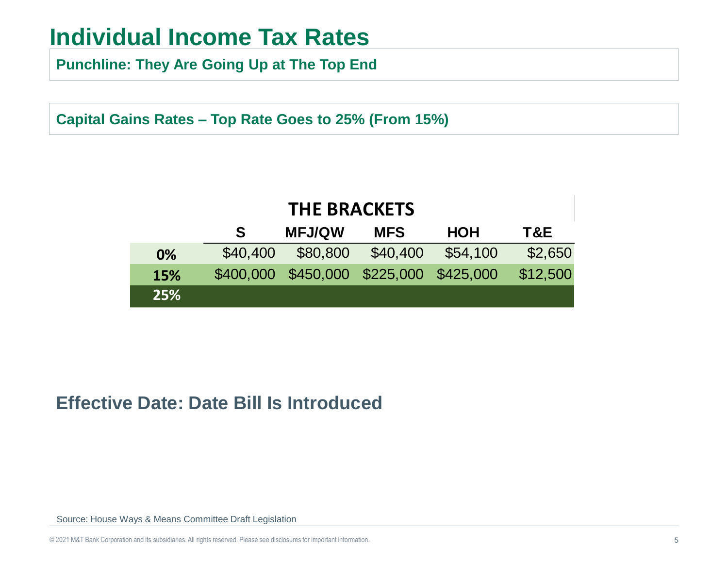**Punchline: They Are Going Up at The Top End**

**Capital Gains Rates – Top Rate Goes to 25% (From 15%)**

| <b>THE BRACKETS</b>                                    |          |                                         |          |          |          |  |  |  |  |
|--------------------------------------------------------|----------|-----------------------------------------|----------|----------|----------|--|--|--|--|
| <b>MFJ/QW</b><br><b>HOH</b><br><b>MFS</b><br>T&E<br>S. |          |                                         |          |          |          |  |  |  |  |
| 0%                                                     | \$40,400 | \$80,800                                | \$40,400 | \$54,100 | \$2,650  |  |  |  |  |
| <b>15%</b>                                             |          | \$400,000 \$450,000 \$225,000 \$425,000 |          |          | \$12,500 |  |  |  |  |
| 25%                                                    |          |                                         |          |          |          |  |  |  |  |

#### **Effective Date: Date Bill Is Introduced**

Source: House Ways & Means Committee Draft Legislation

© 2021 M&T Bank Corporation and its subsidiaries. All rights reserved. Please see disclosures for important information. 5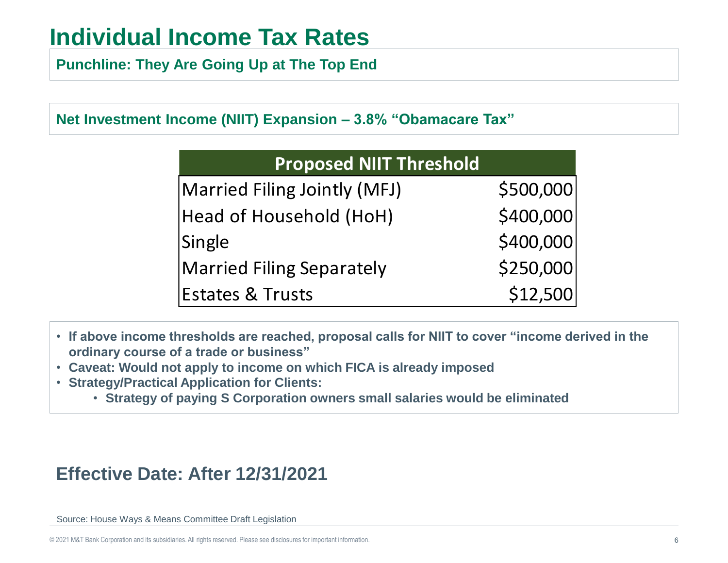**Punchline: They Are Going Up at The Top End**

**Net Investment Income (NIIT) Expansion – 3.8% "Obamacare Tax"** 

| <b>Proposed NIIT Threshold</b>   |           |
|----------------------------------|-----------|
| Married Filing Jointly (MFJ)     | \$500,000 |
| Head of Household (HoH)          | \$400,000 |
| Single                           | \$400,000 |
| <b>Married Filing Separately</b> | \$250,000 |
| <b>Estates &amp; Trusts</b>      | \$12,500  |

- **If above income thresholds are reached, proposal calls for NIIT to cover "income derived in the ordinary course of a trade or business"**
- **Caveat: Would not apply to income on which FICA is already imposed**
- **Strategy/Practical Application for Clients:**
	- **Strategy of paying S Corporation owners small salaries would be eliminated**

### **Effective Date: After 12/31/2021**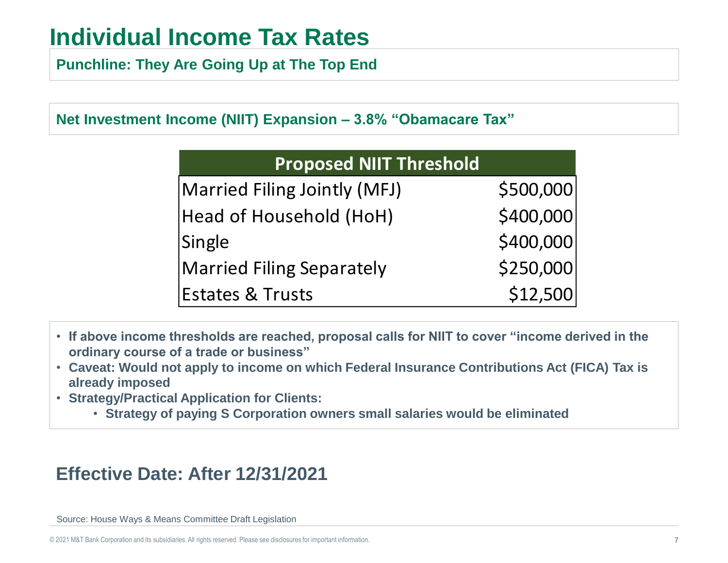**Punchline: They Are Going Up at The Top End**

**Net Investment Income (NIIT) Expansion – 3.8% "Obamacare Tax"** 

| <b>Proposed NIIT Threshold</b>   |           |
|----------------------------------|-----------|
| Married Filing Jointly (MFJ)     | \$500,000 |
| Head of Household (HoH)          | \$400,000 |
| Single                           | \$400,000 |
| <b>Married Filing Separately</b> | \$250,000 |
| <b>Estates &amp; Trusts</b>      | \$12,500  |

- **If above income thresholds are reached, proposal calls for NIIT to cover "income derived in the ordinary course of a trade or business"**
- **Caveat: Would not apply to income on which Federal Insurance Contributions Act (FICA) Tax is already imposed**
- **Strategy/Practical Application for Clients:**
	- **Strategy of paying S Corporation owners small salaries would be eliminated**

### **Effective Date: After 12/31/2021**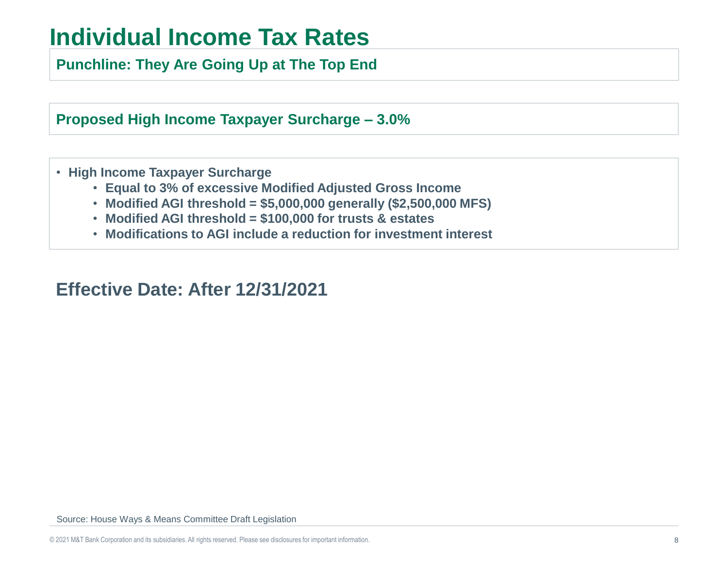**Punchline: They Are Going Up at The Top End**

**Proposed High Income Taxpayer Surcharge – 3.0%**

- **High Income Taxpayer Surcharge**
	- **Equal to 3% of excessive Modified Adjusted Gross Income**
	- **Modified AGI threshold = \$5,000,000 generally (\$2,500,000 MFS)**
	- **Modified AGI threshold = \$100,000 for trusts & estates**
	- **Modifications to AGI include a reduction for investment interest**

**Effective Date: After 12/31/2021**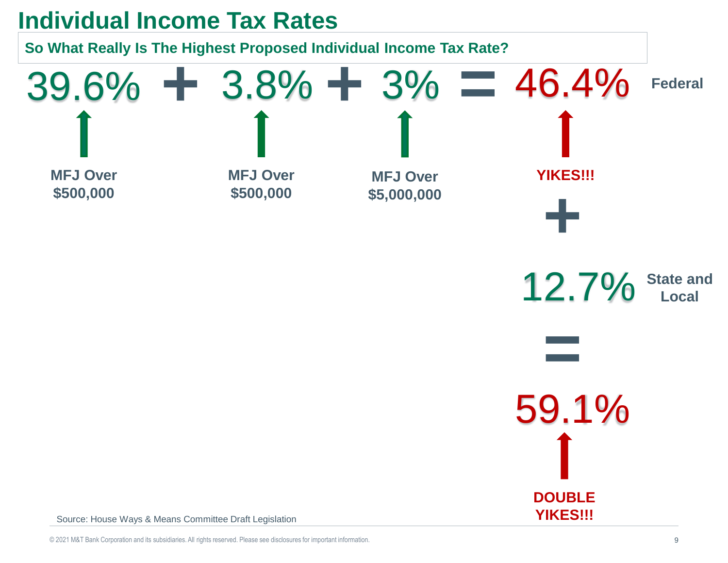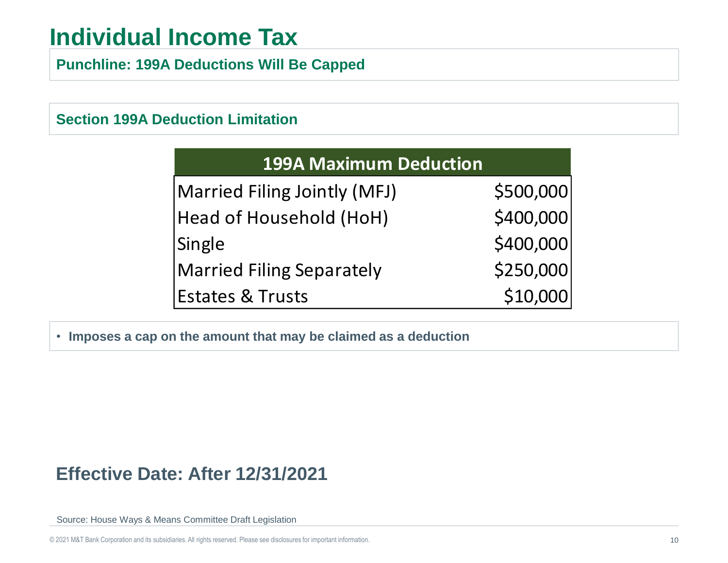## **Individual Income Tax**

**Punchline: 199A Deductions Will Be Capped**

#### **Section 199A Deduction Limitation**

| <b>199A Maximum Deduction</b> |           |
|-------------------------------|-----------|
| Married Filing Jointly (MFJ)  | \$500,000 |
| Head of Household (HoH)       | \$400,000 |
| Single                        | \$400,000 |
| Married Filing Separately     | \$250,000 |
| Estates & Trusts              | \$10,000  |

• **Imposes a cap on the amount that may be claimed as a deduction**

#### **Effective Date: After 12/31/2021**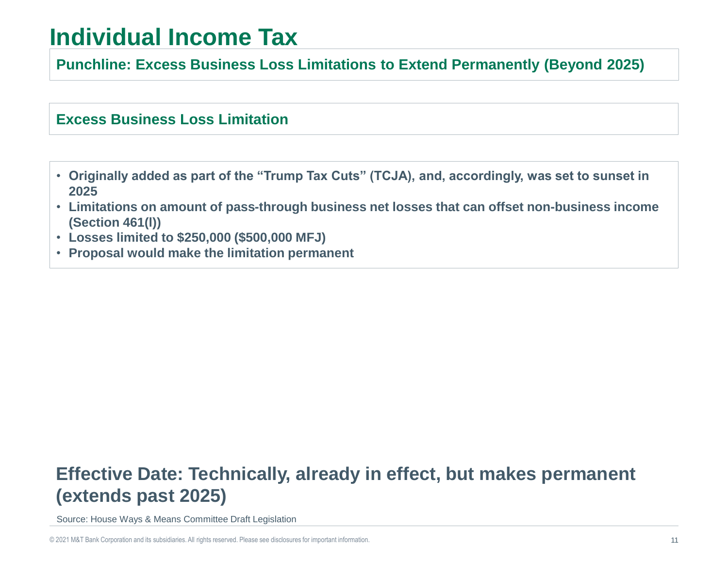## **Individual Income Tax**

**Punchline: Excess Business Loss Limitations to Extend Permanently (Beyond 2025)** 

#### **Excess Business Loss Limitation**

- **Originally added as part of the "Trump Tax Cuts" (TCJA), and, accordingly, was set to sunset in 2025**
- **Limitations on amount of pass-through business net losses that can offset non-business income (Section 461(l))**
- **Losses limited to \$250,000 (\$500,000 MFJ)**
- **Proposal would make the limitation permanent**

### **Effective Date: Technically, already in effect, but makes permanent (extends past 2025)**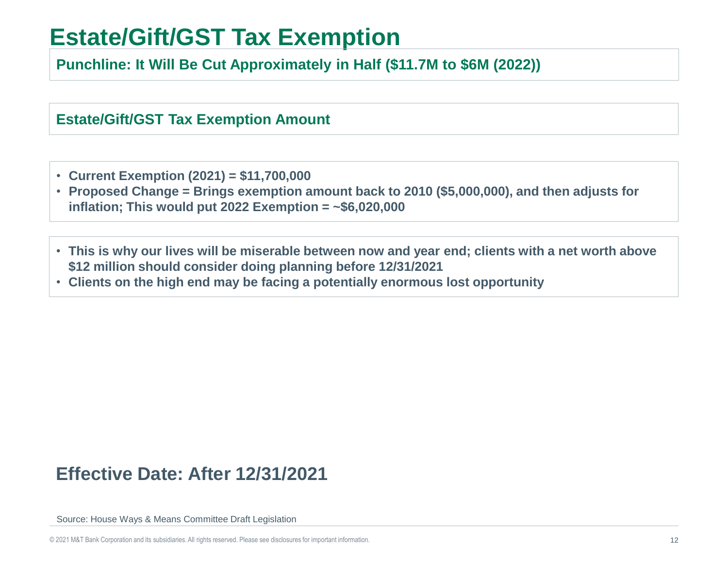## **Estate/Gift/GST Tax Exemption**

**Punchline: It Will Be Cut Approximately in Half (\$11.7M to \$6M (2022))**

**Estate/Gift/GST Tax Exemption Amount**

- **Current Exemption (2021) = \$11,700,000**
- **Proposed Change = Brings exemption amount back to 2010 (\$5,000,000), and then adjusts for inflation; This would put 2022 Exemption = ~\$6,020,000**
- **This is why our lives will be miserable between now and year end; clients with a net worth above \$12 million should consider doing planning before 12/31/2021**
- **Clients on the high end may be facing a potentially enormous lost opportunity**

#### **Effective Date: After 12/31/2021**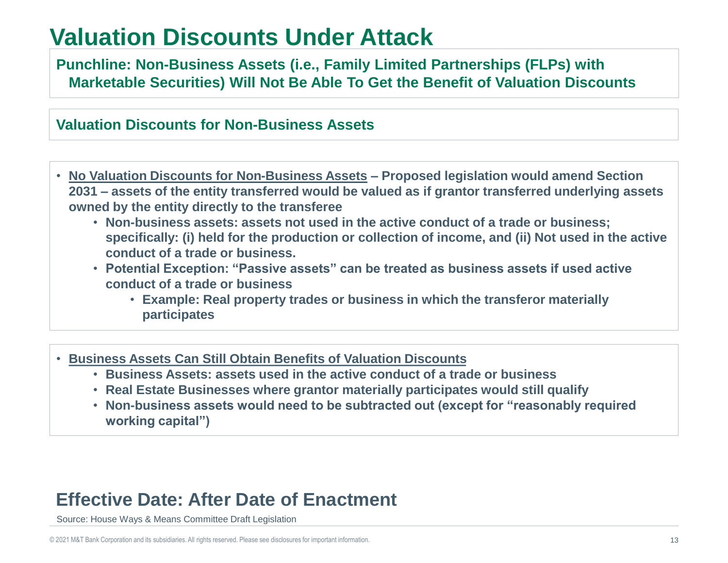## **Valuation Discounts Under Attack**

**Punchline: Non-Business Assets (i.e., Family Limited Partnerships (FLPs) with Marketable Securities) Will Not Be Able To Get the Benefit of Valuation Discounts** 

#### **Valuation Discounts for Non-Business Assets**

- **No Valuation Discounts for Non-Business Assets – Proposed legislation would amend Section 2031 – assets of the entity transferred would be valued as if grantor transferred underlying assets owned by the entity directly to the transferee** 
	- **Non-business assets: assets not used in the active conduct of a trade or business; specifically: (i) held for the production or collection of income, and (ii) Not used in the active conduct of a trade or business.**
	- **Potential Exception: "Passive assets" can be treated as business assets if used active conduct of a trade or business**
		- **Example: Real property trades or business in which the transferor materially participates**

#### • **Business Assets Can Still Obtain Benefits of Valuation Discounts**

- **Business Assets: assets used in the active conduct of a trade or business**
- **Real Estate Businesses where grantor materially participates would still qualify**
- **Non-business assets would need to be subtracted out (except for "reasonably required working capital")**

#### **Effective Date: After Date of Enactment**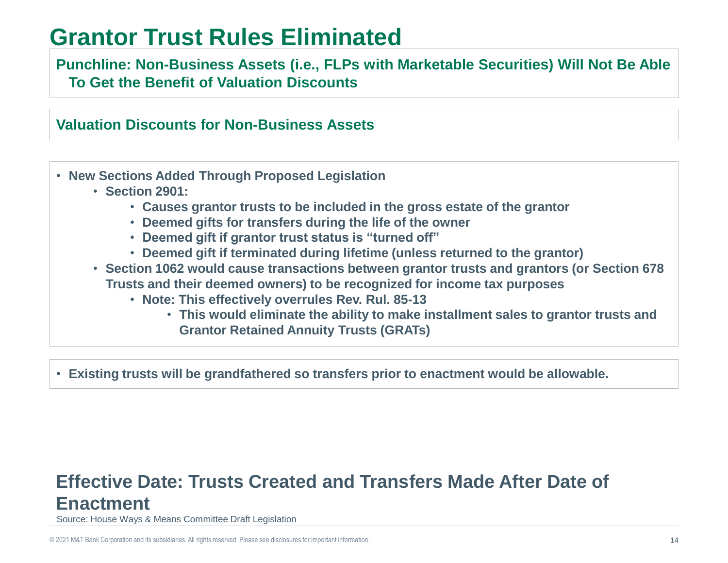### **Grantor Trust Rules Eliminated**

#### **Punchline: Non-Business Assets (i.e., FLPs with Marketable Securities) Will Not Be Able To Get the Benefit of Valuation Discounts**

#### **Valuation Discounts for Non-Business Assets**

- **New Sections Added Through Proposed Legislation**
	- **Section 2901:**
		- **Causes grantor trusts to be included in the gross estate of the grantor**
		- **Deemed gifts for transfers during the life of the owner**
		- **Deemed gift if grantor trust status is "turned off"**
		- **Deemed gift if terminated during lifetime (unless returned to the grantor)**
	- **Section 1062 would cause transactions between grantor trusts and grantors (or Section 678 Trusts and their deemed owners) to be recognized for income tax purposes**
		- **Note: This effectively overrules Rev. Rul. 85-13**
			- **This would eliminate the ability to make installment sales to grantor trusts and Grantor Retained Annuity Trusts (GRATs)**

• **Existing trusts will be grandfathered so transfers prior to enactment would be allowable.**

#### **Effective Date: Trusts Created and Transfers Made After Date of Enactment**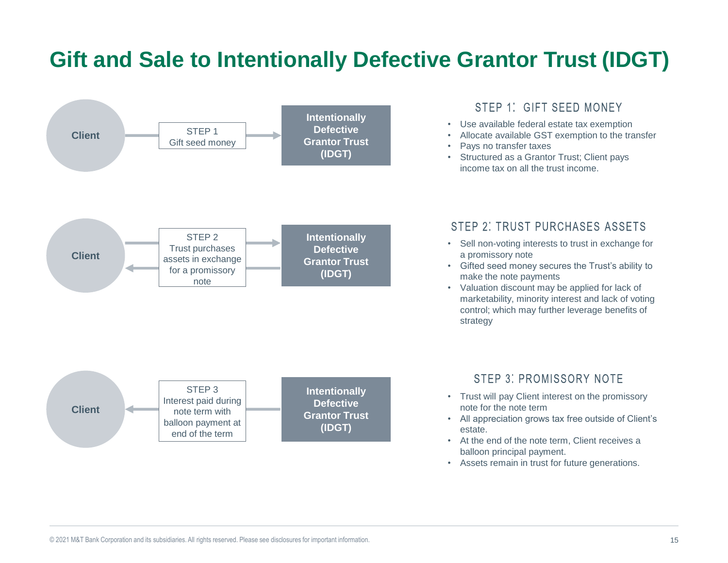### **Gift and Sale to Intentionally Defective Grantor Trust (IDGT)**



• Assets remain in trust for future generations.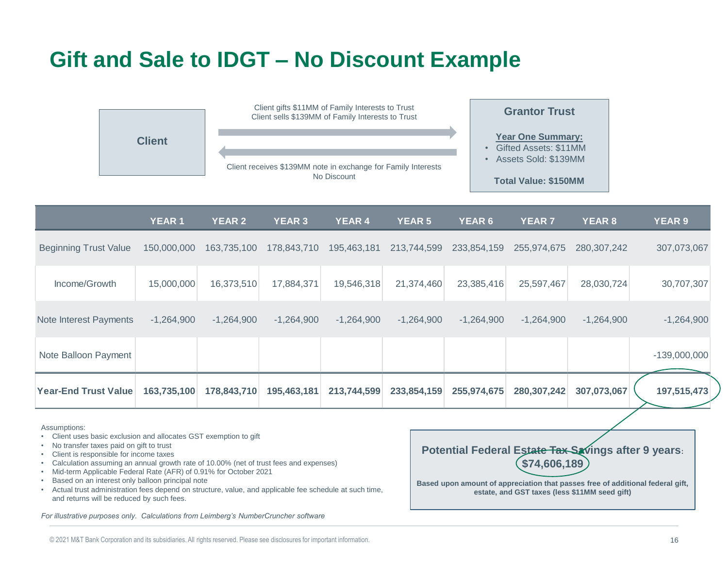### **Gift and Sale to IDGT – No Discount Example**



|                              | <b>YEAR1</b> | <b>YEAR 2</b> | <b>YEAR 3</b> | YEAR 4       | <b>YEAR 5</b> | <b>YEAR 6</b> | <b>YEAR 7</b> | <b>YEAR 8</b> | <b>YEAR 9</b>  |
|------------------------------|--------------|---------------|---------------|--------------|---------------|---------------|---------------|---------------|----------------|
| <b>Beginning Trust Value</b> | 150,000,000  | 163,735,100   | 178,843,710   | 195,463,181  | 213,744,599   | 233,854,159   | 255,974,675   | 280, 307, 242 | 307,073,067    |
| Income/Growth                | 15,000,000   | 16,373,510    | 17,884,371    | 19,546,318   | 21,374,460    | 23,385,416    | 25,597,467    | 28,030,724    | 30,707,307     |
| Note Interest Payments       | $-1,264,900$ | $-1,264,900$  | $-1,264,900$  | $-1,264,900$ | $-1,264,900$  | $-1,264,900$  | $-1,264,900$  | $-1,264,900$  | $-1,264,900$   |
| Note Balloon Payment         |              |               |               |              |               |               |               |               | $-139,000,000$ |
| <b>Year-End Trust Value</b>  | 163,735,100  | 178,843,710   | 195,463,181   | 213,744,599  | 233,854,159   | 255,974,675   | 280,307,242   | 307,073,067   | 197,515,473    |

Assumptions:

- Client uses basic exclusion and allocates GST exemption to gift
- No transfer taxes paid on gift to trust
- Client is responsible for income taxes
- Calculation assuming an annual growth rate of 10.00% (net of trust fees and expenses)
- Mid-term Applicable Federal Rate (AFR) of 0.91% for October 2021
- Based on an interest only balloon principal note
- Actual trust administration fees depend on structure, value, and applicable fee schedule at such time, and returns will be reduced by such fees.

*For illustrative purposes only. Calculations from Leimberg's NumberCruncher software*

**Potential Federal Estate Tax Savings after 9 years: \$74,606,189 Based upon amount of appreciation that passes free of additional federal gift,** 

**estate, and GST taxes (less \$11MM seed gift)**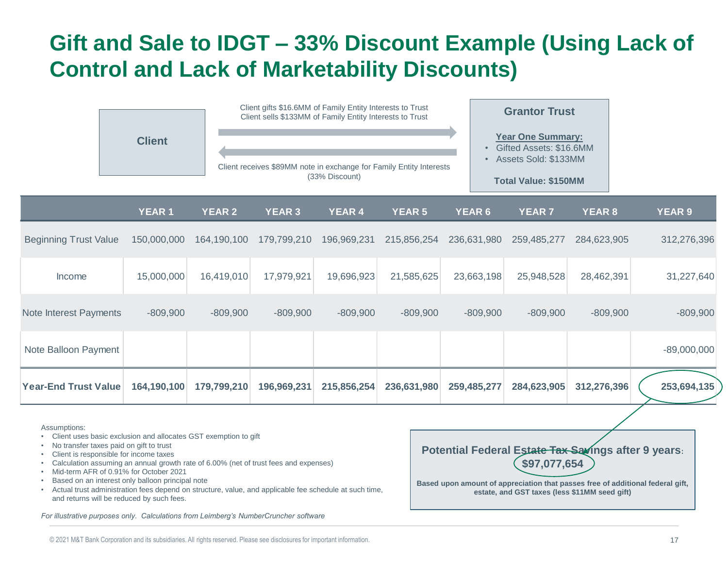### **Gift and Sale to IDGT – 33% Discount Example (Using Lack of Control and Lack of Marketability Discounts)**



Assumptions:

- Client uses basic exclusion and allocates GST exemption to gift
- No transfer taxes paid on gift to trust
- Client is responsible for income taxes
- Calculation assuming an annual growth rate of 6.00% (net of trust fees and expenses)
- Mid-term AFR of 0.91% for October 2021
- Based on an interest only balloon principal note
- Actual trust administration fees depend on structure, value, and applicable fee schedule at such time, and returns will be reduced by such fees.

*For illustrative purposes only. Calculations from Leimberg's NumberCruncher software*

**Potential Federal Estate Tax Savings after 9 years: \$97,077,654**

**Based upon amount of appreciation that passes free of additional federal gift, estate, and GST taxes (less \$11MM seed gift)**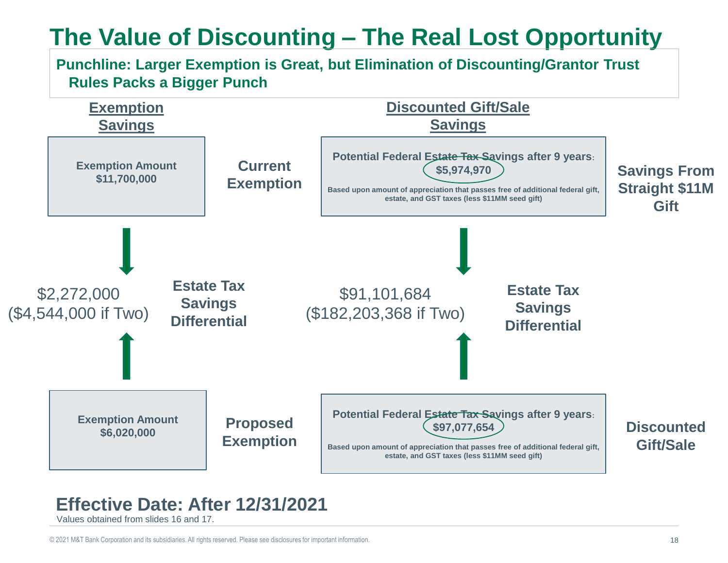## **The Value of Discounting – The Real Lost Opportunity**

#### **Punchline: Larger Exemption is Great, but Elimination of Discounting/Grantor Trust Rules Packs a Bigger Punch**



#### **Effective Date: After 12/31/2021**

Values obtained from slides 16 and 17.

© 2021 M&T Bank Corporation and its subsidiaries. All rights reserved. Please see disclosures for important information. 18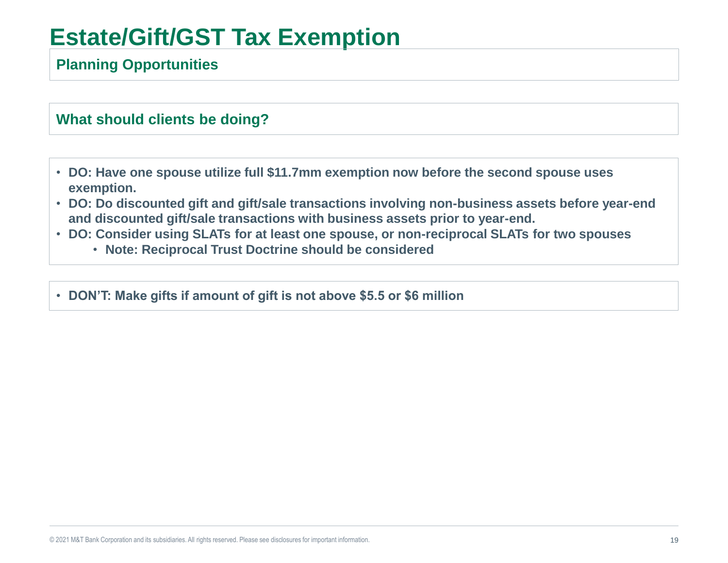## **Estate/Gift/GST Tax Exemption**

#### **Planning Opportunities**

#### **What should clients be doing?**

- **DO: Have one spouse utilize full \$11.7mm exemption now before the second spouse uses exemption.**
- **DO: Do discounted gift and gift/sale transactions involving non-business assets before year-end and discounted gift/sale transactions with business assets prior to year-end.**
- **DO: Consider using SLATs for at least one spouse, or non-reciprocal SLATs for two spouses**
	- **Note: Reciprocal Trust Doctrine should be considered**
- **DON'T: Make gifts if amount of gift is not above \$5.5 or \$6 million**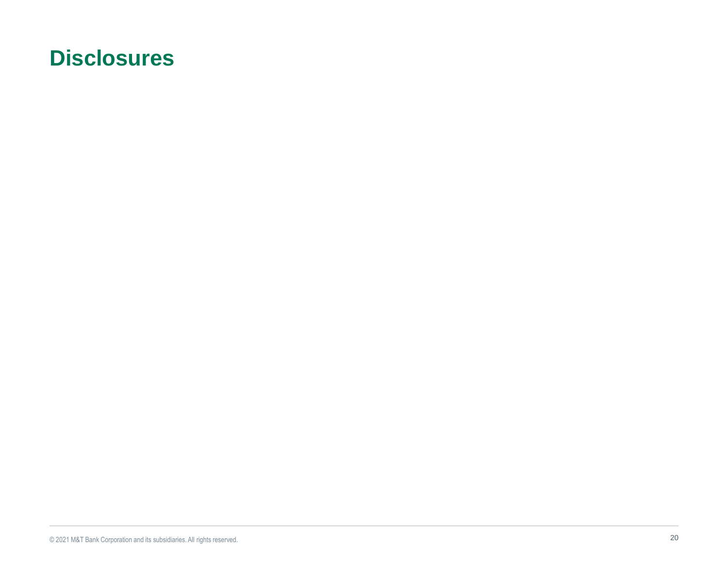### **Disclosures**